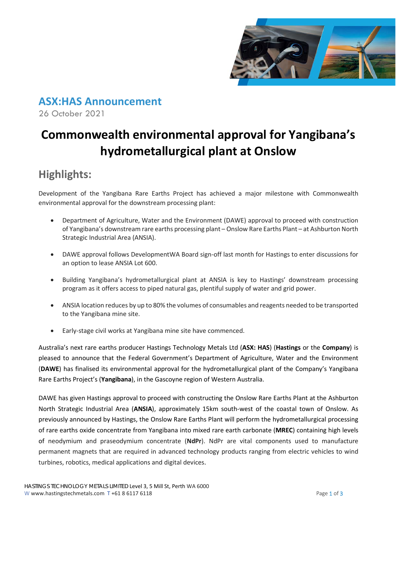

**ASX:HAS Announcement** 26 October 2021

# **Commonwealth environmental approval for Yangibana's hydrometallurgical plant at Onslow**

## **Highlights:**

Development of the Yangibana Rare Earths Project has achieved a major milestone with Commonwealth environmental approval for the downstream processing plant:

- Department of Agriculture, Water and the Environment (DAWE) approval to proceed with construction of Yangibana's downstream rare earths processing plant – Onslow Rare Earths Plant – at Ashburton North Strategic Industrial Area (ANSIA).
- DAWE approval follows DevelopmentWA Board sign-off last month for Hastings to enter discussions for an option to lease ANSIA Lot 600.
- Building Yangibana's hydrometallurgical plant at ANSIA is key to Hastings' downstream processing program as it offers access to piped natural gas, plentiful supply of water and grid power.
- ANSIA location reduces by up to 80% the volumes of consumables and reagents needed to be transported to the Yangibana mine site.
- Early-stage civil works at Yangibana mine site have commenced.

Australia's next rare earths producer Hastings Technology Metals Ltd (**ASX: HAS**) (**Hastings** or the **Company**) is pleased to announce that the Federal Government's Department of Agriculture, Water and the Environment (**DAWE**) has finalised its environmental approval for the hydrometallurgical plant of the Company's Yangibana Rare Earths Project's (**Yangibana**), in the Gascoyne region of Western Australia.

DAWE has given Hastings approval to proceed with constructing the Onslow Rare Earths Plant at the Ashburton North Strategic Industrial Area (**ANSIA**), approximately 15km south-west of the coastal town of Onslow. As previously announced by Hastings, the Onslow Rare Earths Plant will perform the hydrometallurgical processing of rare earths oxide concentrate from Yangibana into mixed rare earth carbonate (**MREC**) containing high levels of neodymium and praseodymium concentrate (**NdPr**). NdPr are vital components used to manufacture permanent magnets that are required in advanced technology products ranging from electric vehicles to wind turbines, robotics, medical applications and digital devices.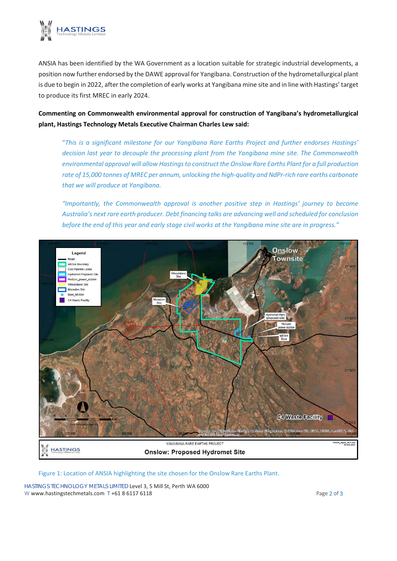

ANSIA has been identified by the WA Government as a location suitable for strategic industrial developments, a position now further endorsed by the DAWE approval for Yangibana. Construction of the hydrometallurgical plant is due to begin in 2022, after the completion of early works at Yangibana mine site and in line with Hastings' target to produce its first MREC in early 2024.

**Commenting on Commonwealth environmental approval for construction of Yangibana's hydrometallurgical plant, Hastings Technology Metals Executive Chairman Charles Lew said:**

"*This is a significant milestone for our Yangibana Rare Earths Project and further endorses Hastings' decision last year to decouple the processing plant from the Yangibana mine site. The Commonwealth environmental approval will allow Hastingsto construct the Onslow Rare Earths Plant for a full production rate of 15,000 tonnes of MREC per annum, unlocking the high-quality and NdPr-rich rare earths carbonate that we will produce at Yangibana.* 

*"Importantly, the Commonwealth approval is another positive step in Hastings' journey to become Australia's next rare earth producer. Debt financing talks are advancing well and scheduled for conclusion before the end of this year and early stage civil works at the Yangibana mine site are in progress."*



Figure 1: Location of ANSIA highlighting the site chosen for the Onslow Rare Earths Plant.

HASTINGS TECHNOLOGY METALS LIMITED Level 3, 5 Mill St, Perth WA 6000 W www.hastingstechmetals.com  $T + 61 8 6117 6118$  example 2 of 3